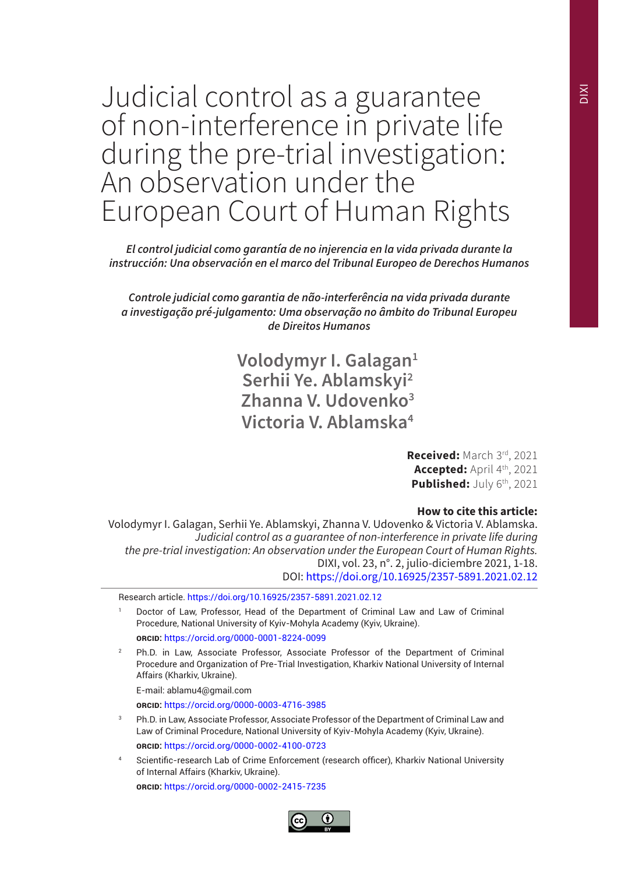*El control judicial como garantía de no injerencia en la vida privada durante la instrucción: Una observación en el marco del Tribunal Europeo de Derechos Humanos*

*Controle judicial como garantia de não-interferência na vida privada durante a investigação pré-julgamento: Uma observação no âmbito do Tribunal Europeu de Direitos Humanos*

> **Volodymyr I. Galagan1 Serhii Ye. Ablamskyi2 Zhаnnа V. Udovenko3 Victoria V. Ablamska4**

> > **Received:** March 3rd, 2021 **Accepted:** April 4th, 2021 **Published:** July 6<sup>th</sup>, 2021

### **How to cite this article:**

Volodymyr I. Galagan, Serhii Ye. Ablamskyi, Zhаnnа V. Udovenko & Victoria V. Ablamska. *Judicial control as a guarantee of non-interference in private life during the pre-trial investigation: An observation under the European Court of Human Rights.*  DIXI, vol. 23, n°. 2, julio-diciembre 2021, 1-18. DOI: https://doi.org/10.16925/2357-5891.2021.02.12

Research article. https://doi.org/10.16925/2357-5891.2021.02.12

- Doctor of Law, Professor, Head of the Department of Criminal Law and Law of Criminal Procedure, National University of Kyiv-Mohyla Academy (Kyiv, Ukraine).  **orcid:** https://orcid.org/0000-0001-8224-0099
- <sup>2</sup> Ph.D. in Law, Associate Professor, Associate Professor of the Department of Criminal Procedure and Organization of Pre-Trial Investigation, Kharkiv National University of Internal Affairs (Kharkiv, Ukraine).
	- E-mail: ablamu4@gmail.com

 **orcid:** https://orcid.org/0000-0003-4716-3985

- <sup>3</sup> Ph.D. in Law, Associate Professor, Associate Professor of the Department of Criminal Law and Law of Criminal Procedure, National University of Kyiv-Mohyla Academy (Kyiv, Ukraine).  **orcid:** https://orcid.org/0000-0002-4100-0723
- Scientific-research Lab of Crime Enforcement (research officer), Kharkiv National University of Internal Affairs (Kharkiv, Ukraine).

 **orcid:** https://orcid.org/0000-0002-2415-7235

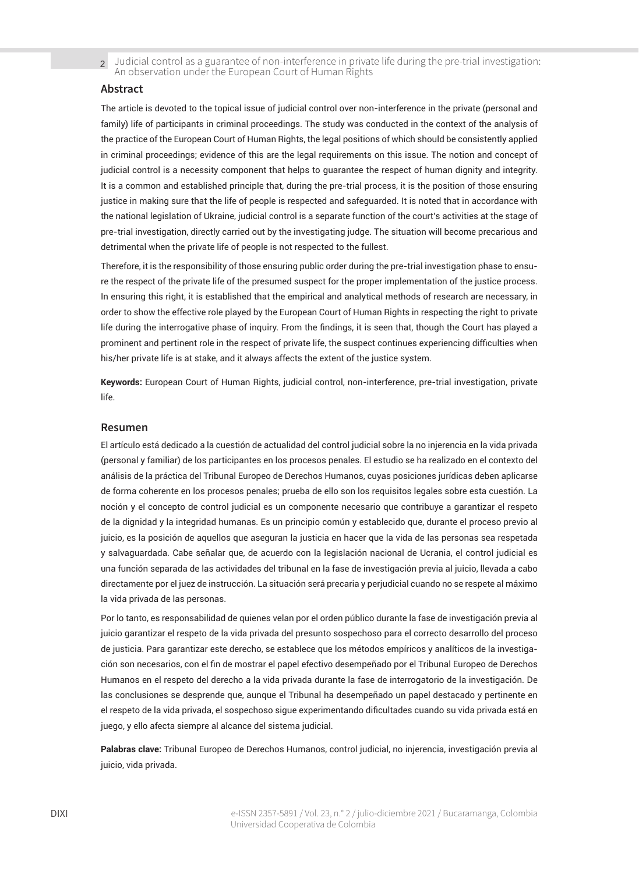#### **Abstract**

The article is devoted to the topical issue of judicial control over non-interference in the private (personal and family) life of participants in criminal proceedings. The study was conducted in the context of the analysis of the practice of the European Court of Human Rights, the legal positions of which should be consistently applied in criminal proceedings; evidence of this are the legal requirements on this issue. The notion and concept of judicial control is a necessity component that helps to guarantee the respect of human dignity and integrity. It is a common and established principle that, during the pre-trial process, it is the position of those ensuring justice in making sure that the life of people is respected and safeguarded. It is noted that in accordance with the national legislation of Ukraine, judicial control is a separate function of the court's activities at the stage of pre-trial investigation, directly carried out by the investigating judge. The situation will become precarious and detrimental when the private life of people is not respected to the fullest.

Therefore, it is the responsibility of those ensuring public order during the pre-trial investigation phase to ensure the respect of the private life of the presumed suspect for the proper implementation of the justice process. In ensuring this right, it is established that the empirical and analytical methods of research are necessary, in order to show the effective role played by the European Court of Human Rights in respecting the right to private life during the interrogative phase of inquiry. From the findings, it is seen that, though the Court has played a prominent and pertinent role in the respect of private life, the suspect continues experiencing difficulties when his/her private life is at stake, and it always affects the extent of the justice system.

**Keywords:** European Court of Human Rights, judicial control, non-interference, pre-trial investigation, private life.

#### **Resumen**

El artículo está dedicado a la cuestión de actualidad del control judicial sobre la no injerencia en la vida privada (personal y familiar) de los participantes en los procesos penales. El estudio se ha realizado en el contexto del análisis de la práctica del Tribunal Europeo de Derechos Humanos, cuyas posiciones jurídicas deben aplicarse de forma coherente en los procesos penales; prueba de ello son los requisitos legales sobre esta cuestión. La noción y el concepto de control judicial es un componente necesario que contribuye a garantizar el respeto de la dignidad y la integridad humanas. Es un principio común y establecido que, durante el proceso previo al juicio, es la posición de aquellos que aseguran la justicia en hacer que la vida de las personas sea respetada y salvaguardada. Cabe señalar que, de acuerdo con la legislación nacional de Ucrania, el control judicial es una función separada de las actividades del tribunal en la fase de investigación previa al juicio, llevada a cabo directamente por el juez de instrucción. La situación será precaria y perjudicial cuando no se respete al máximo la vida privada de las personas.

Por lo tanto, es responsabilidad de quienes velan por el orden público durante la fase de investigación previa al juicio garantizar el respeto de la vida privada del presunto sospechoso para el correcto desarrollo del proceso de justicia. Para garantizar este derecho, se establece que los métodos empíricos y analíticos de la investigación son necesarios, con el fin de mostrar el papel efectivo desempeñado por el Tribunal Europeo de Derechos Humanos en el respeto del derecho a la vida privada durante la fase de interrogatorio de la investigación. De las conclusiones se desprende que, aunque el Tribunal ha desempeñado un papel destacado y pertinente en el respeto de la vida privada, el sospechoso sigue experimentando dificultades cuando su vida privada está en juego, y ello afecta siempre al alcance del sistema judicial.

**Palabras clave:** Tribunal Europeo de Derechos Humanos, control judicial, no injerencia, investigación previa al juicio, vida privada.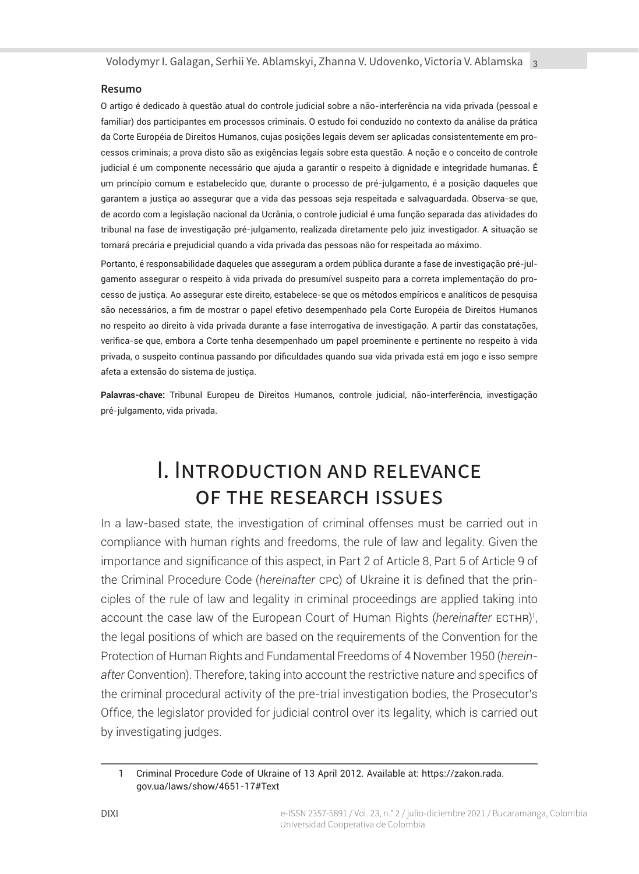### **Resumo**

O artigo é dedicado à questão atual do controle judicial sobre a não-interferência na vida privada (pessoal e familiar) dos participantes em processos criminais. O estudo foi conduzido no contexto da análise da prática da Corte Européia de Direitos Humanos, cujas posições legais devem ser aplicadas consistentemente em processos criminais; a prova disto são as exigências legais sobre esta questão. A noção e o conceito de controle judicial é um componente necessário que ajuda a garantir o respeito à dignidade e integridade humanas. É um princípio comum e estabelecido que, durante o processo de pré-julgamento, é a posição daqueles que garantem a justiça ao assegurar que a vida das pessoas seja respeitada e salvaguardada. Observa-se que, de acordo com a legislação nacional da Ucrânia, o controle judicial é uma função separada das atividades do tribunal na fase de investigação pré-julgamento, realizada diretamente pelo juiz investigador. A situação se tornará precária e prejudicial quando a vida privada das pessoas não for respeitada ao máximo.

Portanto, é responsabilidade daqueles que asseguram a ordem pública durante a fase de investigação pré-julgamento assegurar o respeito à vida privada do presumível suspeito para a correta implementação do processo de justiça. Ao assegurar este direito, estabelece-se que os métodos empíricos e analíticos de pesquisa são necessários, a fim de mostrar o papel efetivo desempenhado pela Corte Européia de Direitos Humanos no respeito ao direito à vida privada durante a fase interrogativa de investigação. A partir das constatações, verifica-se que, embora a Corte tenha desempenhado um papel proeminente e pertinente no respeito à vida privada, o suspeito continua passando por dificuldades quando sua vida privada está em jogo e isso sempre afeta a extensão do sistema de justiça.

**Palavras-chave:** Tribunal Europeu de Direitos Humanos, controle judicial, não-interferência, investigação pré-julgamento, vida privada.

### I. Introduction and relevance of the research issues

In a law-based state, the investigation of criminal offenses must be carried out in compliance with human rights and freedoms, the rule of law and legality. Given the importance and significance of this aspect, in Part 2 of Article 8, Part 5 of Article 9 of the Criminal Procedure Code (*hereinafter* cpc) of Ukraine it is defined that the principles of the rule of law and legality in criminal proceedings are applied taking into account the case law of the European Court of Human Rights (*hereinafter* ecthr) 1 , the legal positions of which are based on the requirements of the Convention for the Protection of Human Rights and Fundamental Freedoms of 4 November 1950 (*hereinafter* Convention). Therefore, taking into account the restrictive nature and specifics of the criminal procedural activity of the pre-trial investigation bodies, the Prosecutor's Office, the legislator provided for judicial control over its legality, which is carried out by investigating judges.

<sup>1</sup> Criminal Procedure Code of Ukraine of 13 April 2012. Available at: https://zakon.rada. gov.ua/laws/show/4651-17#Text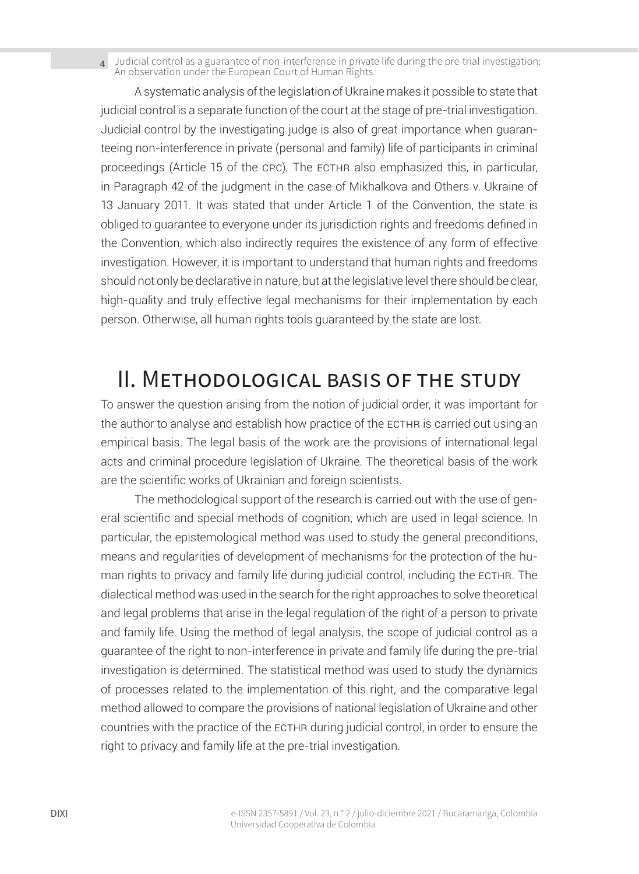A systematic analysis of the legislation of Ukraine makes it possible to state that judicial control is a separate function of the court at the stage of pre-trial investigation. Judicial control by the investigating judge is also of great importance when guaranteeing non-interference in private (personal and family) life of participants in criminal proceedings (Article 15 of the cpc). The ECTHR also emphasized this, in particular, in Paragraph 42 of the judgment in the case of Mikhalkova and Others v. Ukraine of 13 January 2011. It was stated that under Article 1 of the Convention, the state is obliged to guarantee to everyone under its jurisdiction rights and freedoms defined in the Convention, which also indirectly requires the existence of any form of effective investigation. However, it is important to understand that human rights and freedoms should not only be declarative in nature, but at the legislative level there should be clear, high-quality and truly effective legal mechanisms for their implementation by each person. Otherwise, all human rights tools guaranteed by the state are lost.

### II. Methodological basis of the study

To answer the question arising from the notion of judicial order, it was important for the author to analyse and establish how practice of the ECTHR is carried out using an empirical basis. The legal basis of the work are the provisions of international legal acts and criminal procedure legislation of Ukraine. The theoretical basis of the work are the scientific works of Ukrainian and foreign scientists.

The methodological support of the research is carried out with the use of general scientific and special methods of cognition, which are used in legal science. In particular, the epistemological method was used to study the general preconditions, means and regularities of development of mechanisms for the protection of the human rights to privacy and family life during judicial control, including the ECTHR. The dialectical method was used in the search for the right approaches to solve theoretical and legal problems that arise in the legal regulation of the right of a person to private and family life. Using the method of legal analysis, the scope of judicial control as a guarantee of the right to non-interference in private and family life during the pre-trial investigation is determined. The statistical method was used to study the dynamics of processes related to the implementation of this right, and the comparative legal method allowed to compare the provisions of national legislation of Ukraine and other countries with the practice of the ECTHR during judicial control, in order to ensure the right to privacy and family life at the pre-trial investigation.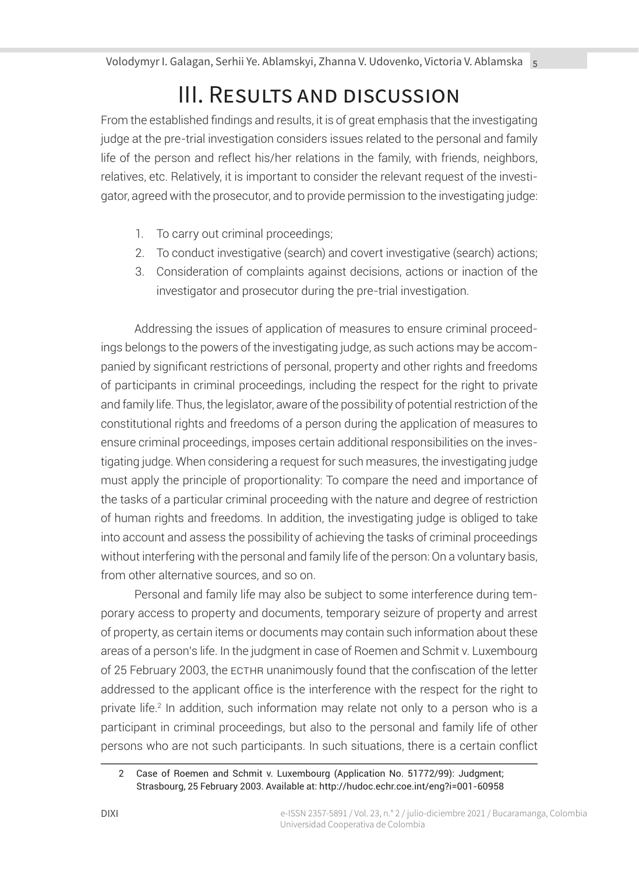# III. Results and discussion

From the established findings and results, it is of great emphasis that the investigating judge at the pre-trial investigation considers issues related to the personal and family life of the person and reflect his/her relations in the family, with friends, neighbors, relatives, etc. Relatively, it is important to consider the relevant request of the investigator, agreed with the prosecutor, and to provide permission to the investigating judge:

- 1. To carry out criminal proceedings;
- 2. To conduct investigative (search) and covert investigative (search) actions;
- 3. Consideration of complaints against decisions, actions or inaction of the investigator and prosecutor during the pre-trial investigation.

Addressing the issues of application of measures to ensure criminal proceedings belongs to the powers of the investigating judge, as such actions may be accompanied by significant restrictions of personal, property and other rights and freedoms of participants in criminal proceedings, including the respect for the right to private and family life. Thus, the legislator, aware of the possibility of potential restriction of the constitutional rights and freedoms of a person during the application of measures to ensure criminal proceedings, imposes certain additional responsibilities on the investigating judge. When considering a request for such measures, the investigating judge must apply the principle of proportionality: To compare the need and importance of the tasks of a particular criminal proceeding with the nature and degree of restriction of human rights and freedoms. In addition, the investigating judge is obliged to take into account and assess the possibility of achieving the tasks of criminal proceedings without interfering with the personal and family life of the person: On a voluntary basis, from other alternative sources, and so on.

Personal and family life may also be subject to some interference during temporary access to property and documents, temporary seizure of property and arrest of property, as certain items or documents may contain such information about these areas of a person's life. In the judgment in case of Roemen and Schmit v. Luxembourg of 25 February 2003, the ECTHR unanimously found that the confiscation of the letter addressed to the applicant office is the interference with the respect for the right to private life.<sup>2</sup> In addition, such information may relate not only to a person who is a participant in criminal proceedings, but also to the personal and family life of other persons who are not such participants. In such situations, there is a certain conflict

<sup>2</sup> Case of Roemen and Schmit v. Luxembourg (Application No. 51772/99): Judgment; Strasbourg, 25 February 2003. Available at: http://hudoc.echr.coe.int/eng?i=001-60958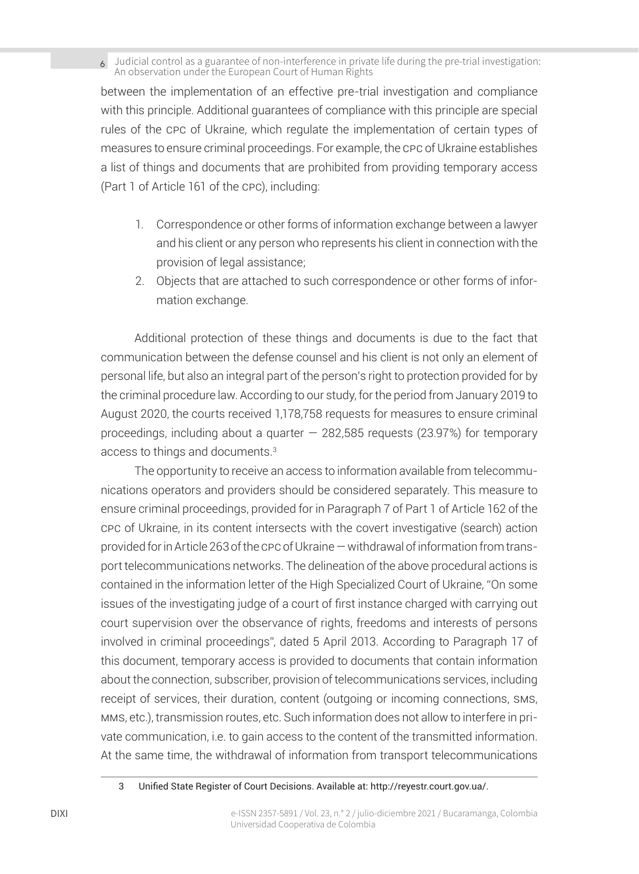between the implementation of an effective pre-trial investigation and compliance with this principle. Additional guarantees of compliance with this principle are special rules of the cpc of Ukraine, which regulate the implementation of certain types of measures to ensure criminal proceedings. For example, the cpc of Ukraine establishes a list of things and documents that are prohibited from providing temporary access (Part 1 of Article 161 of the cpc), including:

- 1. Correspondence or other forms of information exchange between a lawyer and his client or any person who represents his client in connection with the provision of legal assistance;
- 2. Objects that are attached to such correspondence or other forms of information exchange.

Additional protection of these things and documents is due to the fact that communication between the defense counsel and his client is not only an element of personal life, but also an integral part of the person's right to protection provided for by the criminal procedure law. According to our study, for the period from January 2019 to August 2020, the courts received 1,178,758 requests for measures to ensure criminal proceedings, including about a quarter  $-282,585$  requests (23.97%) for temporary access to things and documents.3

The opportunity to receive an access to information available from telecommunications operators and providers should be considered separately. This measure to ensure criminal proceedings, provided for in Paragraph 7 of Part 1 of Article 162 of the cpc of Ukraine, in its content intersects with the covert investigative (search) action provided for in Article 263 of the cpc of Ukraine — withdrawal of information from transport telecommunications networks. The delineation of the above procedural actions is contained in the information letter of the High Specialized Court of Ukraine, "On some issues of the investigating judge of a court of first instance charged with carrying out court supervision over the observance of rights, freedoms and interests of persons involved in criminal proceedings", dated 5 April 2013. According to Paragraph 17 of this document, temporary access is provided to documents that contain information about the connection, subscriber, provision of telecommunications services, including receipt of services, their duration, content (outgoing or incoming connections, sms, mms, etc.), transmission routes, etc. Such information does not allow to interfere in private communication, i.e. to gain access to the content of the transmitted information. At the same time, the withdrawal of information from transport telecommunications

<sup>3</sup> Unified State Register of Court Decisions. Available at: http://reyestr.court.gov.ua/.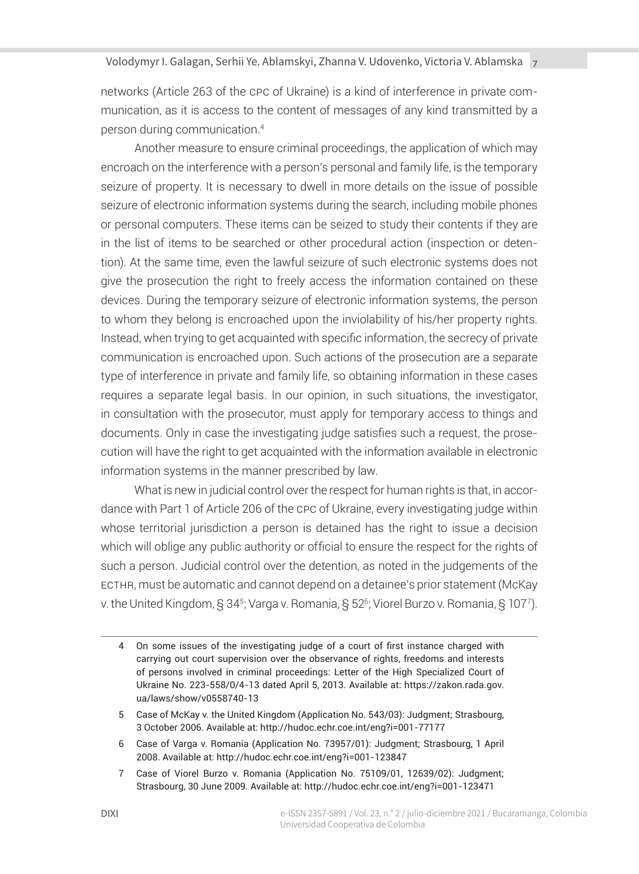networks (Article 263 of the cpc of Ukraine) is a kind of interference in private communication, as it is access to the content of messages of any kind transmitted by a person during communication.<sup>4</sup>

Another measure to ensure criminal proceedings, the application of which may encroach on the interference with a person's personal and family life, is the temporary seizure of property. It is necessary to dwell in more details on the issue of possible seizure of electronic information systems during the search, including mobile phones or personal computers. These items can be seized to study their contents if they are in the list of items to be searched or other procedural action (inspection or detention). At the same time, even the lawful seizure of such electronic systems does not give the prosecution the right to freely access the information contained on these devices. During the temporary seizure of electronic information systems, the person to whom they belong is encroached upon the inviolability of his/her property rights. Instead, when trying to get acquainted with specific information, the secrecy of private communication is encroached upon. Such actions of the prosecution are a separate type of interference in private and family life, so obtaining information in these cases requires a separate legal basis. In our opinion, in such situations, the investigator, in consultation with the prosecutor, must apply for temporary access to things and documents. Only in case the investigating judge satisfies such a request, the prosecution will have the right to get acquainted with the information available in electronic information systems in the manner prescribed by law.

What is new in judicial control over the respect for human rights is that, in accordance with Part 1 of Article 206 of the cpc of Ukraine, every investigating judge within whose territorial jurisdiction a person is detained has the right to issue a decision which will oblige any public authority or official to ensure the respect for the rights of such a person. Judicial control over the detention, as noted in the judgements of the ecthr, must be automatic and cannot depend on a detainee's prior statement (McKay v. the United Kingdom, § 34<sup>5</sup>; Varga v. Romania, § 52<sup>6</sup>; Viorel Burzo v. Romania, § 107<sup>7</sup>).

7 Case of Viorel Burzo v. Romania (Application No. 75109/01, 12639/02): Judgment; Strasbourg, 30 June 2009. Available at: http://hudoc.echr.coe.int/eng?i=001-123471

<sup>4</sup> On some issues of the investigating judge of a court of first instance charged with carrying out court supervision over the observance of rights, freedoms and interests of persons involved in criminal proceedings: Letter of the High Specialized Court of Ukraine No. 223-558/0/4-13 dated April 5, 2013. Available at: https://zakon.rada.gov. ua/laws/show/v0558740-13

<sup>5</sup> Case of McKay v. the United Kingdom (Application No. 543/03): Judgment; Strasbourg, 3 October 2006. Available at: http://hudoc.echr.coe.int/eng?i=001-77177

<sup>6</sup> Case of Varga v. Romania (Application No. 73957/01): Judgment; Strasbourg, 1 April 2008. Available at: http://hudoc.echr.coe.int/eng?i=001-123847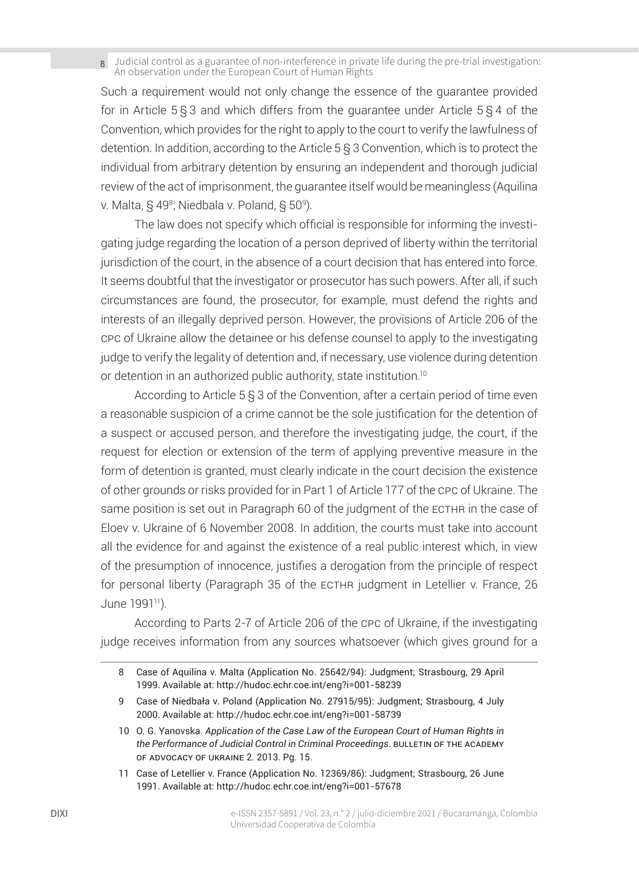Such a requirement would not only change the essence of the guarantee provided for in Article 5 § 3 and which differs from the guarantee under Article 5 § 4 of the Convention, which provides for the right to apply to the court to verify the lawfulness of detention. In addition, according to the Article 5 § 3 Convention, which is to protect the individual from arbitrary detention by ensuring an independent and thorough judicial review of the act of imprisonment, the guarantee itself would be meaningless (Aquilina v. Malta, § 49<sup>8</sup>; Niedbala v. Poland, § 50º).

The law does not specify which official is responsible for informing the investigating judge regarding the location of a person deprived of liberty within the territorial jurisdiction of the court, in the absence of a court decision that has entered into force. It seems doubtful that the investigator or prosecutor has such powers. After all, if such circumstances are found, the prosecutor, for example, must defend the rights and interests of an illegally deprived person. However, the provisions of Article 206 of the cpc of Ukraine allow the detainee or his defense counsel to apply to the investigating judge to verify the legality of detention and, if necessary, use violence during detention or detention in an authorized public authority, state institution.<sup>10</sup>

According to Article 5 § 3 of the Convention, after a certain period of time even a reasonable suspicion of a crime cannot be the sole justification for the detention of a suspect or accused person, and therefore the investigating judge, the court, if the request for election or extension of the term of applying preventive measure in the form of detention is granted, must clearly indicate in the court decision the existence of other grounds or risks provided for in Part 1 of Article 177 of the cpc of Ukraine. The same position is set out in Paragraph 60 of the judgment of the ECTHR in the case of Eloev v. Ukraine of 6 November 2008. In addition, the courts must take into account all the evidence for and against the existence of a real public interest which, in view of the presumption of innocence, justifies a derogation from the principle of respect for personal liberty (Paragraph 35 of the ECTHR judgment in Letellier v. France, 26 June 1991<sup>11</sup>).

According to Parts 2-7 of Article 206 of the cpc of Ukraine, if the investigating judge receives information from any sources whatsoever (which gives ground for a

11 Case of Letellier v. France (Application No. 12369/86): Judgment; Strasbourg, 26 June 1991. Available at: http://hudoc.echr.coe.int/eng?i=001-57678

<sup>8</sup> Case of Aquilina v. Malta (Application No. 25642/94): Judgment; Strasbourg, 29 April 1999. Available at: http://hudoc.echr.coe.int/eng?i=001-58239

<sup>9</sup> Case of Niedbała v. Poland (Application No. 27915/95): Judgment; Strasbourg, 4 July 2000. Available at: http://hudoc.echr.coe.int/eng?i=001-58739

<sup>10</sup> O. G. Yanovska. *Application of the Case Law of the European Court of Human Rights in the Performance of Judicial Control in Criminal Proceedings. BULLETIN OF THE ACADEMY* of Advocacy of Ukraine 2. 2013. Pg. 15.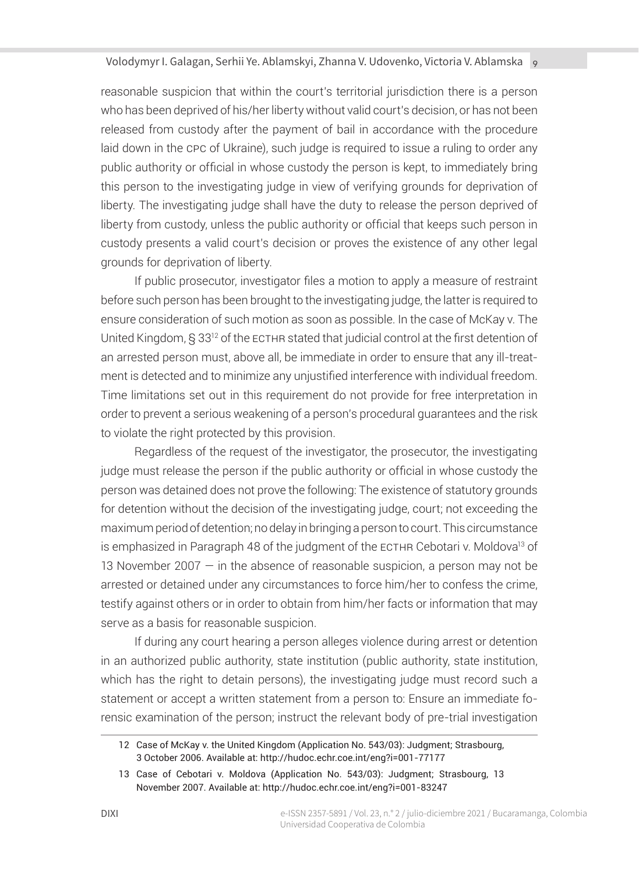reasonable suspicion that within the court's territorial jurisdiction there is a person who has been deprived of his/her liberty without valid court's decision, or has not been released from custody after the payment of bail in accordance with the procedure laid down in the cpc of Ukraine), such judge is required to issue a ruling to order any public authority or official in whose custody the person is kept, to immediately bring this person to the investigating judge in view of verifying grounds for deprivation of liberty. The investigating judge shall have the duty to release the person deprived of liberty from custody, unless the public authority or official that keeps such person in custody presents a valid court's decision or proves the existence of any other legal grounds for deprivation of liberty.

If public prosecutor, investigator files a motion to apply a measure of restraint before such person has been brought to the investigating judge, the latter is required to ensure consideration of such motion as soon as possible. In the case of McKay v. The United Kingdom, § 33<sup>12</sup> of the ECTHR stated that judicial control at the first detention of an arrested person must, above all, be immediate in order to ensure that any ill-treatment is detected and to minimize any unjustified interference with individual freedom. Time limitations set out in this requirement do not provide for free interpretation in order to prevent a serious weakening of a person's procedural guarantees and the risk to violate the right protected by this provision.

Regardless of the request of the investigator, the prosecutor, the investigating judge must release the person if the public authority or official in whose custody the person was detained does not prove the following: The existence of statutory grounds for detention without the decision of the investigating judge, court; not exceeding the maximum period of detention; no delay in bringing a person to court. This circumstance is emphasized in Paragraph 48 of the judgment of the ECTHR Cebotari v. Moldova<sup>13</sup> of 13 November 2007 — in the absence of reasonable suspicion, a person may not be arrested or detained under any circumstances to force him/her to confess the crime, testify against others or in order to obtain from him/her facts or information that may serve as a basis for reasonable suspicion.

If during any court hearing a person alleges violence during arrest or detention in an authorized public authority, state institution (public authority, state institution, which has the right to detain persons), the investigating judge must record such a statement or accept a written statement from a person to: Ensure an immediate forensic examination of the person; instruct the relevant body of pre-trial investigation

<sup>12</sup> Case of McKay v. the United Kingdom (Application No. 543/03): Judgment; Strasbourg, 3 October 2006. Available at: http://hudoc.echr.coe.int/eng?i=001-77177

<sup>13</sup> Case of Cebotari v. Moldova (Application No. 543/03): Judgment; Strasbourg, 13 November 2007. Available at: http://hudoc.echr.coe.int/eng?i=001-83247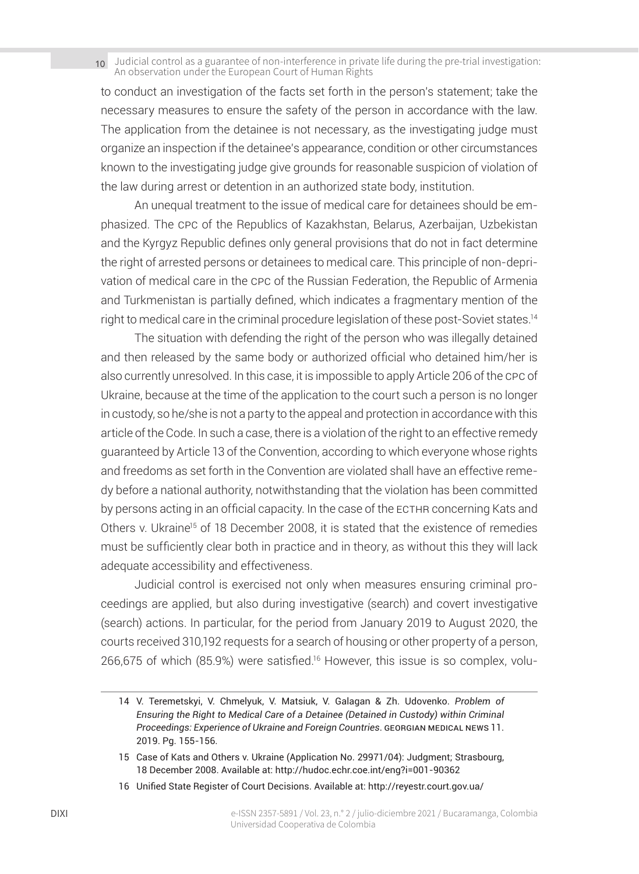to conduct an investigation of the facts set forth in the person's statement; take the necessary measures to ensure the safety of the person in accordance with the law. The application from the detainee is not necessary, as the investigating judge must organize an inspection if the detainee's appearance, condition or other circumstances known to the investigating judge give grounds for reasonable suspicion of violation of the law during arrest or detention in an authorized state body, institution.

An unequal treatment to the issue of medical care for detainees should be emphasized. The cpc of the Republics of Kazakhstan, Belarus, Azerbaijan, Uzbekistan and the Kyrgyz Republic defines only general provisions that do not in fact determine the right of arrested persons or detainees to medical care. This principle of non-deprivation of medical care in the cpc of the Russian Federation, the Republic of Armenia and Turkmenistan is partially defined, which indicates a fragmentary mention of the right to medical care in the criminal procedure legislation of these post-Soviet states.14

The situation with defending the right of the person who was illegally detained and then released by the same body or authorized official who detained him/her is also currently unresolved. In this case, it is impossible to apply Article 206 of the cpc of Ukraine, because at the time of the application to the court such a person is no longer in custody, so he/she is not a party to the appeal and protection in accordance with this article of the Code. In such a case, there is a violation of the right to an effective remedy guaranteed by Article 13 of the Convention, according to which everyone whose rights and freedoms as set forth in the Convention are violated shall have an effective remedy before a national authority, notwithstanding that the violation has been committed by persons acting in an official capacity. In the case of the ECTHR concerning Kats and Others v. Ukraine<sup>15</sup> of 18 December 2008, it is stated that the existence of remedies must be sufficiently clear both in practice and in theory, as without this they will lack adequate accessibility and effectiveness.

Judicial control is exercised not only when measures ensuring criminal proceedings are applied, but also during investigative (search) and covert investigative (search) actions. In particular, for the period from January 2019 to August 2020, the courts received 310,192 requests for a search of housing or other property of a person, 266,675 of which (85.9%) were satisfied.16 However, this issue is so complex, volu-

<sup>14</sup> V. Teremetskyi, V. Chmelyuk, V. Matsiuk, V. Galagan & Zh. Udovenko. *Problem of Ensuring the Right to Medical Care of a Detainee (Detained in Custody) within Criminal*  **Proceedings: Experience of Ukraine and Foreign Countries. GEORGIAN MEDICAL NEWS 11.** 2019. Pg. 155-156.

<sup>15</sup> Case of Kats and Others v. Ukraine (Application No. 29971/04): Judgment; Strasbourg, 18 December 2008. Available at: http://hudoc.echr.coe.int/eng?i=001-90362

<sup>16</sup> Unified State Register of Court Decisions. Available at: http://reyestr.court.gov.ua/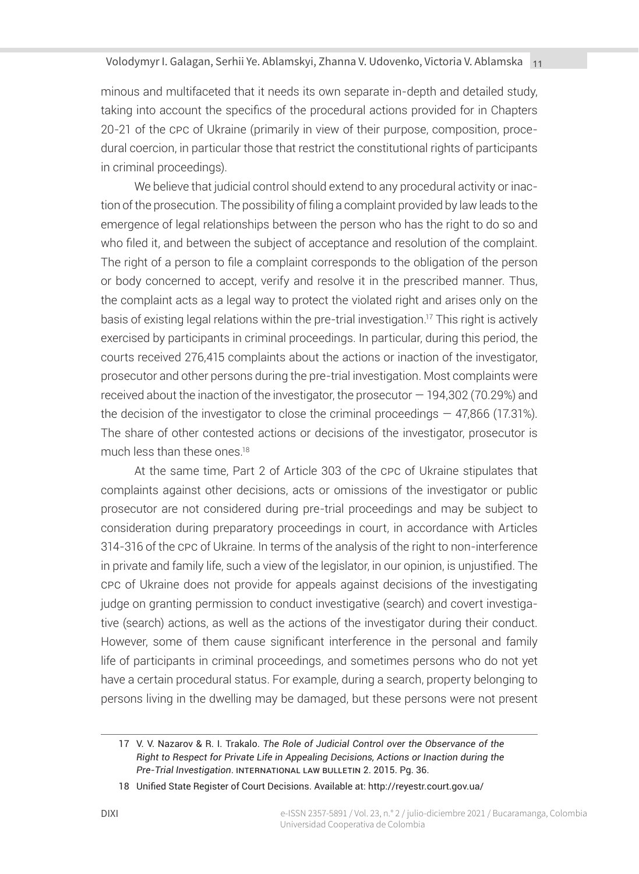minous and multifaceted that it needs its own separate in-depth and detailed study, taking into account the specifics of the procedural actions provided for in Chapters 20-21 of the cpc of Ukraine (primarily in view of their purpose, composition, procedural coercion, in particular those that restrict the constitutional rights of participants in criminal proceedings).

We believe that judicial control should extend to any procedural activity or inaction of the prosecution. The possibility of filing a complaint provided by law leads to the emergence of legal relationships between the person who has the right to do so and who filed it, and between the subject of acceptance and resolution of the complaint. The right of a person to file a complaint corresponds to the obligation of the person or body concerned to accept, verify and resolve it in the prescribed manner. Thus, the complaint acts as a legal way to protect the violated right and arises only on the basis of existing legal relations within the pre-trial investigation.<sup>17</sup> This right is actively exercised by participants in criminal proceedings. In particular, during this period, the courts received 276,415 complaints about the actions or inaction of the investigator, prosecutor and other persons during the pre-trial investigation. Most complaints were received about the inaction of the investigator, the prosecutor — 194,302 (70.29%) and the decision of the investigator to close the criminal proceedings  $-47,866$  (17.31%). The share of other contested actions or decisions of the investigator, prosecutor is much less than these ones.<sup>18</sup>

At the same time, Part 2 of Article 303 of the cpc of Ukraine stipulates that complaints against other decisions, acts or omissions of the investigator or public prosecutor are not considered during pre-trial proceedings and may be subject to consideration during preparatory proceedings in court, in accordance with Articles 314-316 of the cpc of Ukraine. In terms of the analysis of the right to non-interference in private and family life, such a view of the legislator, in our opinion, is unjustified. The cpc of Ukraine does not provide for appeals against decisions of the investigating judge on granting permission to conduct investigative (search) and covert investigative (search) actions, as well as the actions of the investigator during their conduct. However, some of them cause significant interference in the personal and family life of participants in criminal proceedings, and sometimes persons who do not yet have a certain procedural status. For example, during a search, property belonging to persons living in the dwelling may be damaged, but these persons were not present

<sup>17</sup> V. V. Nazarov & R. I. Trakalo. *The Role of Judicial Control over the Observance of the Right to Respect for Private Life in Appealing Decisions, Actions or Inaction during the Pre-Trial Investigation*. International Law Bulletin 2. 2015. Pg. 36.

<sup>18</sup> Unified State Register of Court Decisions. Available at: http://reyestr.court.gov.ua/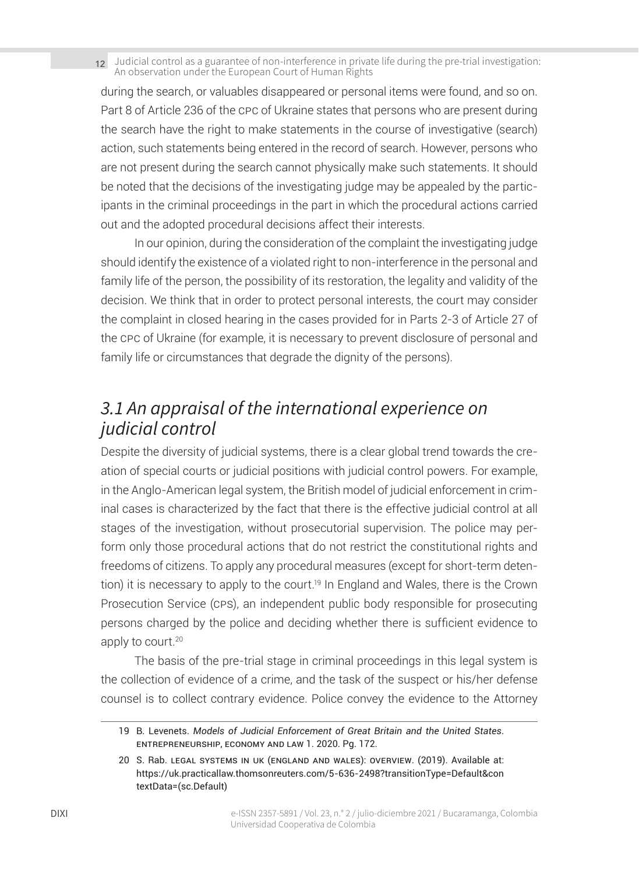during the search, or valuables disappeared or personal items were found, and so on. Part 8 of Article 236 of the cpc of Ukraine states that persons who are present during the search have the right to make statements in the course of investigative (search) action, such statements being entered in the record of search. However, persons who are not present during the search cannot physically make such statements. It should be noted that the decisions of the investigating judge may be appealed by the participants in the criminal proceedings in the part in which the procedural actions carried out and the adopted procedural decisions affect their interests.

In our opinion, during the consideration of the complaint the investigating judge should identify the existence of a violated right to non-interference in the personal and family life of the person, the possibility of its restoration, the legality and validity of the decision. We think that in order to protect personal interests, the court may consider the complaint in closed hearing in the cases provided for in Parts 2-3 of Article 27 of the cpc of Ukraine (for example, it is necessary to prevent disclosure of personal and family life or circumstances that degrade the dignity of the persons).

### *3.1 An appraisal of the international experience on judicial control*

Despite the diversity of judicial systems, there is a clear global trend towards the creation of special courts or judicial positions with judicial control powers. For example, in the Anglo-American legal system, the British model of judicial enforcement in criminal cases is characterized by the fact that there is the effective judicial control at all stages of the investigation, without prosecutorial supervision. The police may perform only those procedural actions that do not restrict the constitutional rights and freedoms of citizens. To apply any procedural measures (except for short-term detention) it is necessary to apply to the court.<sup>19</sup> In England and Wales, there is the Crown Prosecution Service (cps), an independent public body responsible for prosecuting persons charged by the police and deciding whether there is sufficient evidence to apply to court.<sup>20</sup>

The basis of the pre-trial stage in criminal proceedings in this legal system is the collection of evidence of a crime, and the task of the suspect or his/her defense counsel is to collect contrary evidence. Police convey the evidence to the Attorney

<sup>19</sup> B. Levenets. *Models of Judicial Enforcement of Great Britain and the United States*. Entrepreneurship, Economy and Law 1. 2020. Pg. 172.

<sup>20</sup> S. Rab. Legal Systems in UK (England and Wales): Overview. (2019). Available at: https://uk.practicallaw.thomsonreuters.com/5-636-2498?transitionType=Default&con textData=(sc.Default)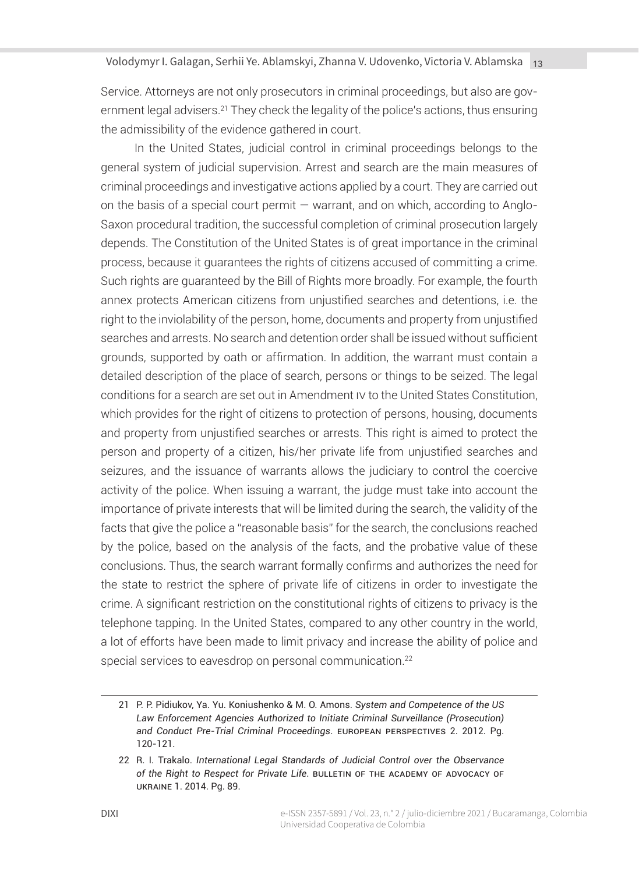Service. Attorneys are not only prosecutors in criminal proceedings, but also are government legal advisers.<sup>21</sup> They check the legality of the police's actions, thus ensuring the admissibility of the evidence gathered in court.

In the United States, judicial control in criminal proceedings belongs to the general system of judicial supervision. Arrest and search are the main measures of criminal proceedings and investigative actions applied by a court. They are carried out on the basis of a special court permit — warrant, and on which, according to Anglo-Saxon procedural tradition, the successful completion of criminal prosecution largely depends. The Constitution of the United States is of great importance in the criminal process, because it guarantees the rights of citizens accused of committing a crime. Such rights are guaranteed by the Bill of Rights more broadly. For example, the fourth annex protects American citizens from unjustified searches and detentions, i.e. the right to the inviolability of the person, home, documents and property from unjustified searches and arrests. No search and detention order shall be issued without sufficient grounds, supported by oath or affirmation. In addition, the warrant must contain a detailed description of the place of search, persons or things to be seized. The legal conditions for a search are set out in Amendment iv to the United States Constitution, which provides for the right of citizens to protection of persons, housing, documents and property from unjustified searches or arrests. This right is aimed to protect the person and property of a citizen, his/her private life from unjustified searches and seizures, and the issuance of warrants allows the judiciary to control the coercive activity of the police. When issuing a warrant, the judge must take into account the importance of private interests that will be limited during the search, the validity of the facts that give the police a "reasonable basis" for the search, the conclusions reached by the police, based on the analysis of the facts, and the probative value of these conclusions. Thus, the search warrant formally confirms and authorizes the need for the state to restrict the sphere of private life of citizens in order to investigate the crime. A significant restriction on the constitutional rights of citizens to privacy is the telephone tapping. In the United States, compared to any other country in the world, a lot of efforts have been made to limit privacy and increase the ability of police and special services to eavesdrop on personal communication.<sup>22</sup>

<sup>21</sup> P. P. Pidiukov, Ya. Yu. Koniushenko & M. O. Amons. *System and Competence of the US Law Enforcement Agencies Authorized to Initiate Criminal Surveillance (Prosecution) and Conduct Pre-Trial Criminal Proceedings*. European Perspectives 2. 2012. Pg. 120-121.

<sup>22</sup> R. I. Trakalo. *International Legal Standards of Judicial Control over the Observance of the Right to Respect for Private Life*. Bulletin of the Academy of Advocacy of Ukraine 1. 2014. Pg. 89.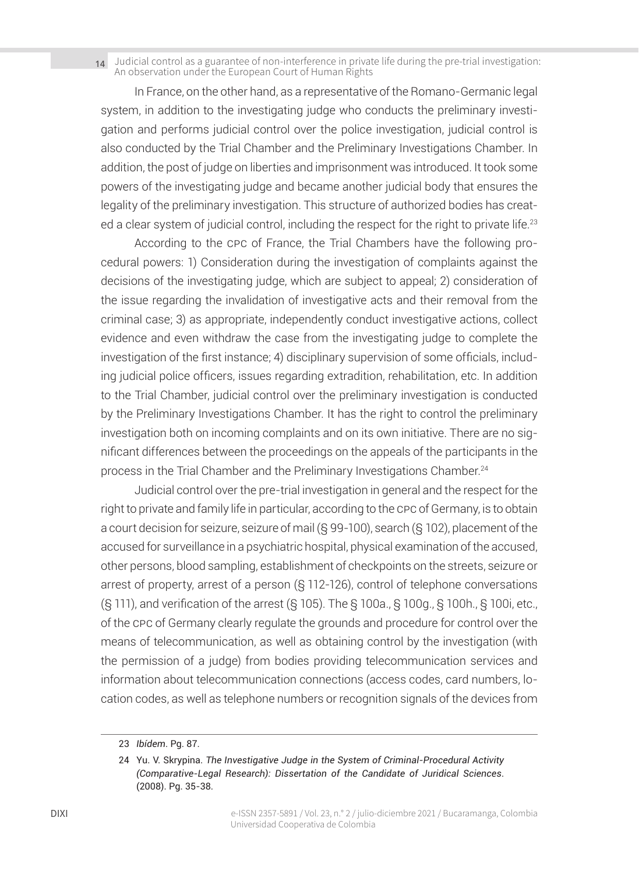In France, on the other hand, as a representative of the Romano-Germanic legal system, in addition to the investigating judge who conducts the preliminary investigation and performs judicial control over the police investigation, judicial control is also conducted by the Trial Chamber and the Preliminary Investigations Chamber. In addition, the post of judge on liberties and imprisonment was introduced. It took some powers of the investigating judge and became another judicial body that ensures the legality of the preliminary investigation. This structure of authorized bodies has created a clear system of judicial control, including the respect for the right to private life.<sup>23</sup>

According to the cpc of France, the Trial Chambers have the following procedural powers: 1) Consideration during the investigation of complaints against the decisions of the investigating judge, which are subject to appeal; 2) consideration of the issue regarding the invalidation of investigative acts and their removal from the criminal case; 3) as appropriate, independently conduct investigative actions, collect evidence and even withdraw the case from the investigating judge to complete the investigation of the first instance; 4) disciplinary supervision of some officials, including judicial police officers, issues regarding extradition, rehabilitation, etc. In addition to the Trial Chamber, judicial control over the preliminary investigation is conducted by the Preliminary Investigations Chamber. It has the right to control the preliminary investigation both on incoming complaints and on its own initiative. There are no significant differences between the proceedings on the appeals of the participants in the process in the Trial Chamber and the Preliminary Investigations Chamber.<sup>24</sup>

Judicial control over the pre-trial investigation in general and the respect for the right to private and family life in particular, according to the cpc of Germany, is to obtain a court decision for seizure, seizure of mail (§ 99-100), search (§ 102), placement of the accused for surveillance in a psychiatric hospital, physical examination of the accused, other persons, blood sampling, establishment of checkpoints on the streets, seizure or arrest of property, arrest of a person (§ 112-126), control of telephone conversations (§ 111), and verification of the arrest (§ 105). The § 100a., § 100g., § 100h., § 100i, etc., of the cpc of Germany clearly regulate the grounds and procedure for control over the means of telecommunication, as well as obtaining control by the investigation (with the permission of a judge) from bodies providing telecommunication services and information about telecommunication connections (access codes, card numbers, location codes, as well as telephone numbers or recognition signals of the devices from

<sup>23</sup> *Ibídem*. Pg. 87.

<sup>24</sup> Yu. V. Skrypina. *The Investigative Judge in the System of Criminal-Procedural Activity (Comparative-Legal Research): Dissertation of the Candidate of Juridical Sciences*. (2008). Pg. 35-38.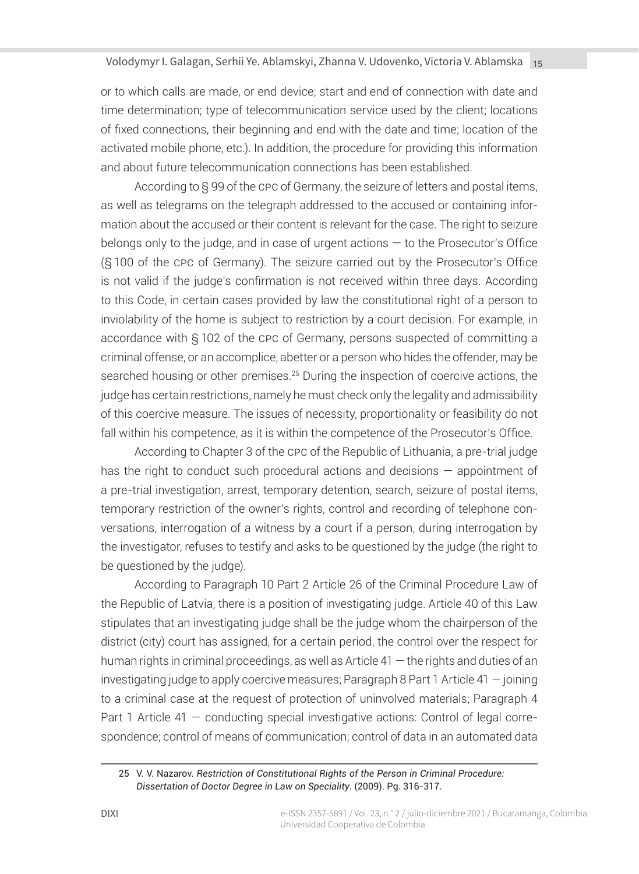or to which calls are made, or end device; start and end of connection with date and time determination; type of telecommunication service used by the client; locations of fixed connections, their beginning and end with the date and time; location of the activated mobile phone, etc.). In addition, the procedure for providing this information and about future telecommunication connections has been established.

According to § 99 of the cpc of Germany, the seizure of letters and postal items, as well as telegrams on the telegraph addressed to the accused or containing information about the accused or their content is relevant for the case. The right to seizure belongs only to the judge, and in case of urgent actions — to the Prosecutor's Office (§ 100 of the cpc of Germany). The seizure carried out by the Prosecutor's Office is not valid if the judge's confirmation is not received within three days. According to this Code, in certain cases provided by law the constitutional right of a person to inviolability of the home is subject to restriction by a court decision. For example, in accordance with § 102 of the cpc of Germany, persons suspected of committing a criminal offense, or an accomplice, abetter or a person who hides the offender, may be searched housing or other premises.<sup>25</sup> During the inspection of coercive actions, the judge has certain restrictions, namely he must check only the legality and admissibility of this coercive measure. The issues of necessity, proportionality or feasibility do not fall within his competence, as it is within the competence of the Prosecutor's Office.

According to Chapter 3 of the cpc of the Republic of Lithuania, a pre-trial judge has the right to conduct such procedural actions and decisions — appointment of a pre-trial investigation, arrest, temporary detention, search, seizure of postal items, temporary restriction of the owner's rights, control and recording of telephone conversations, interrogation of a witness by a court if a person, during interrogation by the investigator, refuses to testify and asks to be questioned by the judge (the right to be questioned by the judge).

According to Paragraph 10 Part 2 Article 26 of the Criminal Procedure Law of the Republic of Latvia, there is a position of investigating judge. Article 40 of this Law stipulates that an investigating judge shall be the judge whom the chairperson of the district (city) court has assigned, for a certain period, the control over the respect for human rights in criminal proceedings, as well as Article 41 — the rights and duties of an investigating judge to apply coercive measures; Paragraph 8 Part 1 Article 41 — joining to a criminal case at the request of protection of uninvolved materials; Paragraph 4 Part 1 Article 41 — conducting special investigative actions: Control of legal correspondence; control of means of communication; control of data in an automated data

<sup>25</sup> V. V. Nazarov. *Restriction of Constitutional Rights of the Person in Criminal Procedure: Dissertation of Doctor Degree in Law on Speciality*. (2009). Pg. 316-317.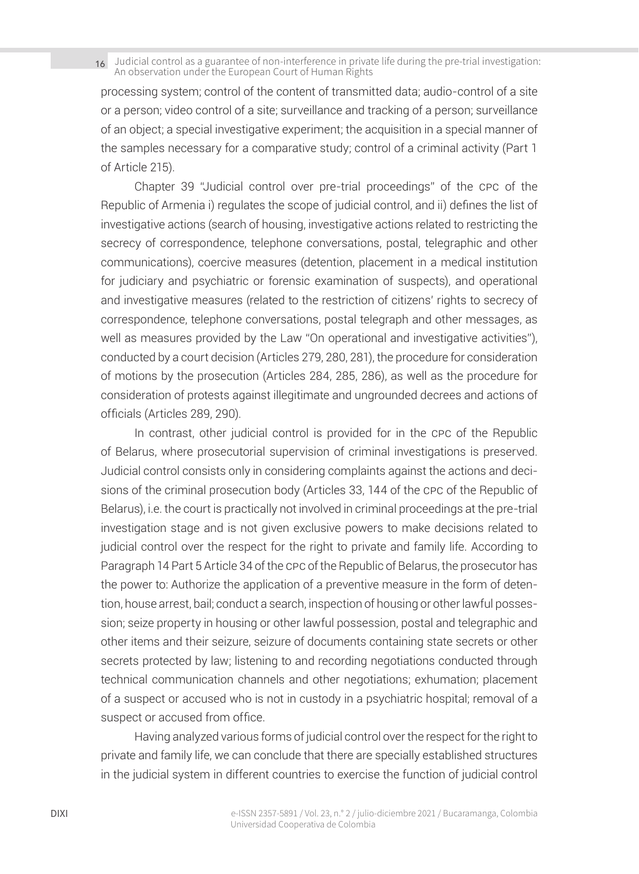processing system; control of the content of transmitted data; audio-control of a site or a person; video control of a site; surveillance and tracking of a person; surveillance of an object; a special investigative experiment; the acquisition in a special manner of the samples necessary for a comparative study; control of a criminal activity (Part 1 of Article 215).

Chapter 39 "Judicial control over pre-trial proceedings" of the cpc of the Republic of Armenia i) regulates the scope of judicial control, and ii) defines the list of investigative actions (search of housing, investigative actions related to restricting the secrecy of correspondence, telephone conversations, postal, telegraphic and other communications), coercive measures (detention, placement in a medical institution for judiciary and psychiatric or forensic examination of suspects), and operational and investigative measures (related to the restriction of citizens' rights to secrecy of correspondence, telephone conversations, postal telegraph and other messages, as well as measures provided by the Law "On operational and investigative activities"), conducted by a court decision (Articles 279, 280, 281), the procedure for consideration of motions by the prosecution (Articles 284, 285, 286), as well as the procedure for consideration of protests against illegitimate and ungrounded decrees and actions of officials (Articles 289, 290).

In contrast, other judicial control is provided for in the cpc of the Republic of Belarus, where prosecutorial supervision of criminal investigations is preserved. Judicial control consists only in considering complaints against the actions and decisions of the criminal prosecution body (Articles 33, 144 of the cpc of the Republic of Belarus), i.e. the court is practically not involved in criminal proceedings at the pre-trial investigation stage and is not given exclusive powers to make decisions related to judicial control over the respect for the right to private and family life. According to Paragraph 14 Part 5 Article 34 of the cpc of the Republic of Belarus, the prosecutor has the power to: Authorize the application of a preventive measure in the form of detention, house arrest, bail; conduct a search, inspection of housing or other lawful possession; seize property in housing or other lawful possession, postal and telegraphic and other items and their seizure, seizure of documents containing state secrets or other secrets protected by law; listening to and recording negotiations conducted through technical communication channels and other negotiations; exhumation; placement of a suspect or accused who is not in custody in a psychiatric hospital; removal of a suspect or accused from office.

Having analyzed various forms of judicial control over the respect for the right to private and family life, we can conclude that there are specially established structures in the judicial system in different countries to exercise the function of judicial control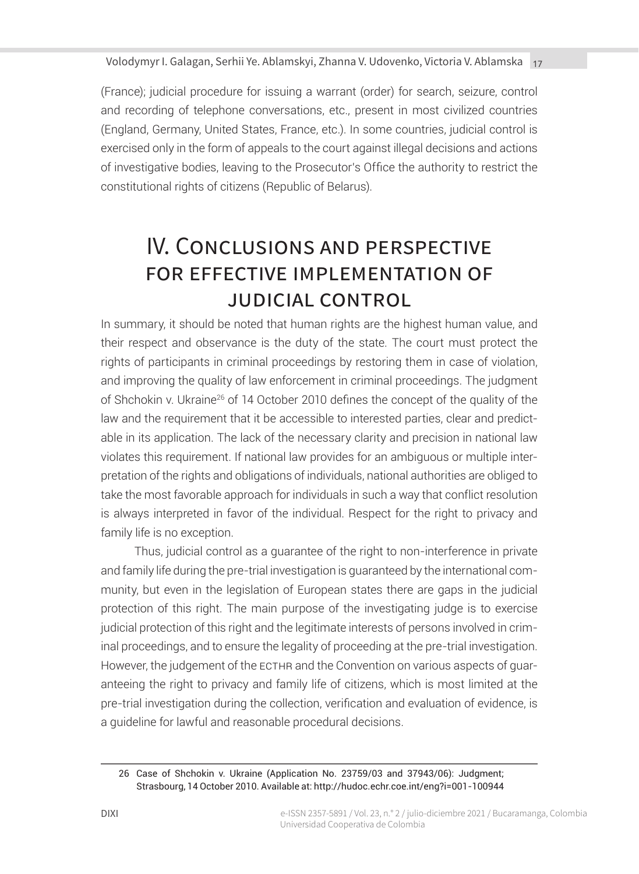(France); judicial procedure for issuing a warrant (order) for search, seizure, control and recording of telephone conversations, etc., present in most civilized countries (England, Germany, United States, France, etc.). In some countries, judicial control is exercised only in the form of appeals to the court against illegal decisions and actions of investigative bodies, leaving to the Prosecutor's Office the authority to restrict the constitutional rights of citizens (Republic of Belarus).

# IV. Conclusions and perspective for effective implementation of judicial control

In summary, it should be noted that human rights are the highest human value, and their respect and observance is the duty of the state. The court must protect the rights of participants in criminal proceedings by restoring them in case of violation, and improving the quality of law enforcement in criminal proceedings. The judgment of Shchokin v. Ukraine26 of 14 October 2010 defines the concept of the quality of the law and the requirement that it be accessible to interested parties, clear and predictable in its application. The lack of the necessary clarity and precision in national law violates this requirement. If national law provides for an ambiguous or multiple interpretation of the rights and obligations of individuals, national authorities are obliged to take the most favorable approach for individuals in such a way that conflict resolution is always interpreted in favor of the individual. Respect for the right to privacy and family life is no exception.

Thus, judicial control as a guarantee of the right to non-interference in private and family life during the pre-trial investigation is guaranteed by the international community, but even in the legislation of European states there are gaps in the judicial protection of this right. The main purpose of the investigating judge is to exercise judicial protection of this right and the legitimate interests of persons involved in criminal proceedings, and to ensure the legality of proceeding at the pre-trial investigation. However, the judgement of the ECTHR and the Convention on various aspects of guaranteeing the right to privacy and family life of citizens, which is most limited at the pre-trial investigation during the collection, verification and evaluation of evidence, is a guideline for lawful and reasonable procedural decisions.

<sup>26</sup> Case of Shchokin v. Ukraine (Application No. 23759/03 and 37943/06): Judgment; Strasbourg, 14 October 2010. Available at: http://hudoc.echr.coe.int/eng?i=001-100944